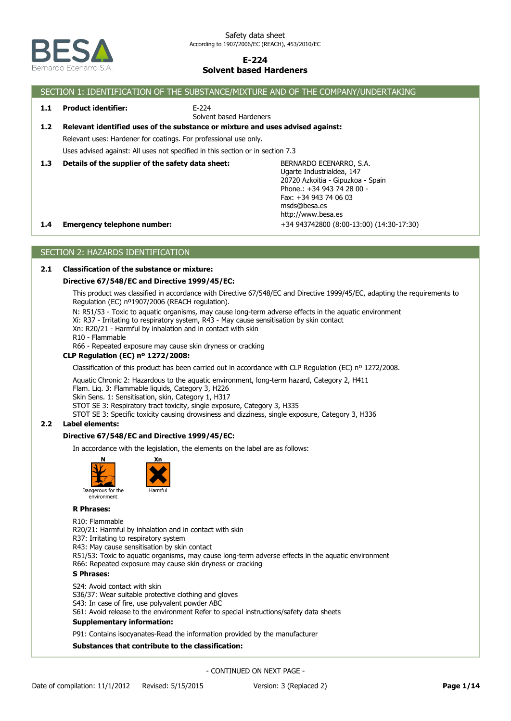

## SECTION 1: IDENTIFICATION OF THE SUBSTANCE/MIXTURE AND OF THE COMPANY/UNDERTAKING **1.4 Emergency telephone number:** +34 943742800 (8:00-13:00) (14:30-17:30) BERNARDO ECENARRO, S.A. Ugarte Industrialdea, 147 20720 Azkoitia - Gipuzkoa - Spain Phone.: +34 943 74 28 00 - Fax: +34 943 74 06 03 msds@besa.es http://www.besa.es **1.3 Details of the supplier of the safety data sheet:** Uses advised against: All uses not specified in this section or in section 7.3 Relevant uses: Hardener for coatings. For professional use only. **1.2 Relevant identified uses of the substance or mixture and uses advised against:** E-224 Solvent based Hardeners **1.1 Product identifier:**

# SECTION 2: HAZARDS IDENTIFICATION

### **2.1 Classification of the substance or mixture:**

### **Directive 67/548/EC and Directive 1999/45/EC:**

This product was classified in accordance with Directive 67/548/EC and Directive 1999/45/EC, adapting the requirements to Regulation (EC) nº1907/2006 (REACH regulation).

N: R51/53 - Toxic to aquatic organisms, may cause long-term adverse effects in the aquatic environment

Xi: R37 - Irritating to respiratory system, R43 - May cause sensitisation by skin contact

Xn: R20/21 - Harmful by inhalation and in contact with skin

R10 - Flammable

R66 - Repeated exposure may cause skin dryness or cracking

## **CLP Regulation (EC) nº 1272/2008:**

Classification of this product has been carried out in accordance with CLP Regulation (EC) nº 1272/2008.

Aquatic Chronic 2: Hazardous to the aquatic environment, long-term hazard, Category 2, H411

Flam. Liq. 3: Flammable liquids, Category 3, H226

Skin Sens. 1: Sensitisation, skin, Category 1, H317

STOT SE 3: Respiratory tract toxicity, single exposure, Category 3, H335

STOT SE 3: Specific toxicity causing drowsiness and dizziness, single exposure, Category 3, H336

## **2.2 Label elements:**

### **Directive 67/548/EC and Directive 1999/45/EC:**

In accordance with the legislation, the elements on the label are as follows:



environment



# R10: Flammable

R20/21: Harmful by inhalation and in contact with skin R37: Irritating to respiratory system R43: May cause sensitisation by skin contact R51/53: Toxic to aquatic organisms, may cause long-term adverse effects in the aquatic environment R66: Repeated exposure may cause skin dryness or cracking

#### **S Phrases:**

S24: Avoid contact with skin

S36/37: Wear suitable protective clothing and gloves

S43: In case of fire, use polyvalent powder ABC

S61: Avoid release to the environment Refer to special instructions/safety data sheets

#### **Supplementary information:**

P91: Contains isocyanates-Read the information provided by the manufacturer

## **Substances that contribute to the classification:**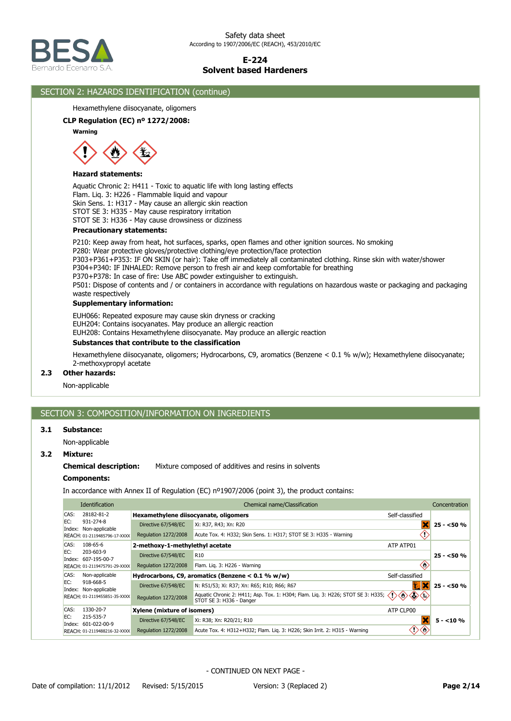

## SECTION 2: HAZARDS IDENTIFICATION (continue)

Hexamethylene diisocyanate, oligomers

### **CLP Regulation (EC) nº 1272/2008:**

**Warning**



#### **Hazard statements:**

Aquatic Chronic 2: H411 - Toxic to aquatic life with long lasting effects Flam. Liq. 3: H226 - Flammable liquid and vapour Skin Sens. 1: H317 - May cause an allergic skin reaction STOT SE 3: H335 - May cause respiratory irritation STOT SE 3: H336 - May cause drowsiness or dizziness

#### **Precautionary statements:**

P210: Keep away from heat, hot surfaces, sparks, open flames and other ignition sources. No smoking

P280: Wear protective gloves/protective clothing/eye protection/face protection P303+P361+P353: IF ON SKIN (or hair): Take off immediately all contaminated clothing. Rinse skin with water/shower

P304+P340: IF INHALED: Remove person to fresh air and keep comfortable for breathing

P370+P378: In case of fire: Use ABC powder extinguisher to extinguish.

P501: Dispose of contents and / or containers in accordance with regulations on hazardous waste or packaging and packaging waste respectively

### **Supplementary information:**

EUH066: Repeated exposure may cause skin dryness or cracking

EUH204: Contains isocyanates. May produce an allergic reaction

EUH208: Contains Hexamethylene diisocyanate. May produce an allergic reaction

## **Substances that contribute to the classification**

Hexamethylene diisocyanate, oligomers; Hydrocarbons, C9, aromatics (Benzene < 0.1 % w/w); Hexamethylene diisocyanate; 2-methoxypropyl acetate

### **2.3 Other hazards:**

Non-applicable

## SECTION 3: COMPOSITION/INFORMATION ON INGREDIENTS

### **3.1 Substance:**

Non-applicable

## **3.2 Mixture:**

## **Chemical description:** Mixture composed of additives and resins in solvents

### **Components:**

In accordance with Annex II of Regulation (EC) nº1907/2006 (point 3), the product contains:

|      | Identification                                                     | Chemical name/Classification<br>Concentration            |                                                                                                                |                 |            |
|------|--------------------------------------------------------------------|----------------------------------------------------------|----------------------------------------------------------------------------------------------------------------|-----------------|------------|
| CAS: | 28182-81-2                                                         | Hexamethylene diisocyanate, oligomers<br>Self-classified |                                                                                                                |                 |            |
| EC:  | 931-274-8<br>Index: Non-applicable                                 | Directive 67/548/EC                                      | Xi: R37, R43; Xn: R20                                                                                          |                 | $25 - 50%$ |
|      | REACH: 01-2119485796-17-XXXX                                       | Regulation 1272/2008                                     | Acute Tox. 4: H332; Skin Sens. 1: H317; STOT SE 3: H335 - Warning                                              |                 |            |
| CAS: | $108 - 65 - 6$<br>2-methoxy-1-methylethyl acetate                  |                                                          |                                                                                                                | ATP ATP01       |            |
| EC:  | 203-603-9<br>Index: 607-195-00-7                                   | Directive 67/548/EC                                      | R <sub>10</sub>                                                                                                |                 | $25 - 50%$ |
|      | REACH: 01-2119475791-29-XXXX                                       | <b>Regulation 1272/2008</b>                              | Flam. Lig. 3: H226 - Warning                                                                                   | ♡               |            |
| CAS: | Non-applicable                                                     |                                                          | Hydrocarbons, C9, aromatics (Benzene $< 0.1$ % w/w)                                                            | Self-classified |            |
| EC:  | 918-668-5<br>Index: Non-applicable<br>REACH: 01-2119455851-35-XXXX | Directive 67/548/EC                                      | N: R51/53; Xi: R37; Xn: R65; R10; R66; R67                                                                     |                 | $25 - 50%$ |
|      |                                                                    | Regulation 1272/2008                                     | Aquatic Chronic 2: H411; Asp. Tox. 1: H304; Flam. Liq. 3: H226; STOT SE 3: H335; <<br>STOT SE 3: H336 - Danger | ベジ<br>⇔<br><∌,  |            |
| CAS: | 1330-20-7                                                          | Xylene (mixture of isomers)                              |                                                                                                                | ATP CLP00       |            |
| EC:  | 215-535-7<br>Index: 601-022-00-9                                   | Directive 67/548/EC                                      | Xi: R38; Xn: R20/21; R10                                                                                       |                 | $5 - 10\%$ |
|      | REACH: 01-2119488216-32-XXXX                                       | Regulation 1272/2008                                     | Acute Tox. 4: H312+H332; Flam. Lig. 3: H226; Skin Irrit. 2: H315 - Warning                                     |                 |            |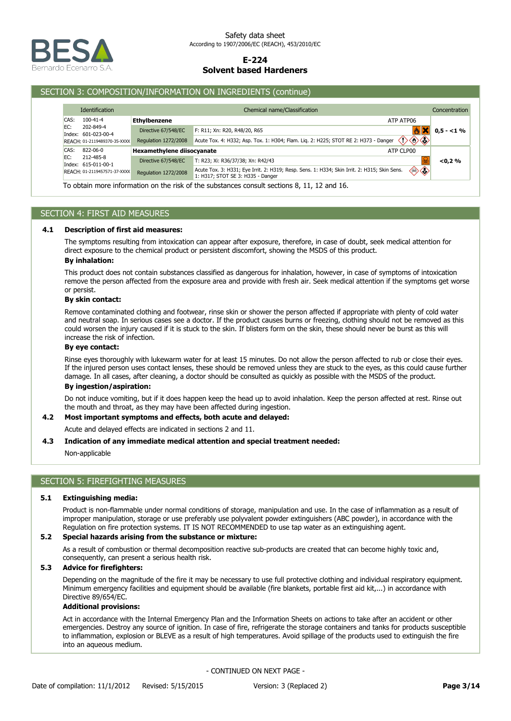

### SECTION 3: COMPOSITION/INFORMATION ON INGREDIENTS (continue)

| <b>Identification</b>                   |                              |                                   | Chemical name/Classification                                                                                                      |    | Concentration |
|-----------------------------------------|------------------------------|-----------------------------------|-----------------------------------------------------------------------------------------------------------------------------------|----|---------------|
| CAS:<br>$100 - 41 - 4$                  |                              | <b>Ethylbenzene</b>               | ATP ATP06                                                                                                                         |    |               |
| EC:<br>202-849-4<br>Index: 601-023-00-4 |                              | Directive 67/548/EC               | F: R11; Xn: R20, R48/20, R65                                                                                                      |    | $0,5 - 1\%$   |
| REACH: 01-2119489370-35-XXXX            |                              | Regulation 1272/2008              | $\diamondsuit \diamondsuit \diamondsuit$<br>Acute Tox. 4: H332; Asp. Tox. 1: H304; Flam. Lig. 2: H225; STOT RE 2: H373 - Danger   |    |               |
| CAS:<br>822-06-0                        |                              | <b>Hexamethylene diisocyanate</b> | ATP CLP00                                                                                                                         |    |               |
| EC:<br>212-485-8<br>Index: 615-011-00-1 |                              | Directive 67/548/EC               | T: R23; Xi: R36/37/38; Xn: R42/43                                                                                                 |    | < 0.2 %       |
|                                         | REACH: 01-2119457571-37-XXXX | <b>Regulation 1272/2008</b>       | Acute Tox. 3: H331; Eye Irrit. 2: H319; Resp. Sens. 1: H334; Skin Irrit. 2: H315; Skin Sens.<br>1: H317; STOT SE 3: H335 - Danger | ◈◈ |               |
|                                         |                              |                                   |                                                                                                                                   |    |               |

To obtain more information on the risk of the substances consult sections 8, 11, 12 and 16.

## SECTION 4: FIRST AID MEASURES

#### **4.1 Description of first aid measures:**

The symptoms resulting from intoxication can appear after exposure, therefore, in case of doubt, seek medical attention for direct exposure to the chemical product or persistent discomfort, showing the MSDS of this product.

## **By inhalation:**

This product does not contain substances classified as dangerous for inhalation, however, in case of symptoms of intoxication remove the person affected from the exposure area and provide with fresh air. Seek medical attention if the symptoms get worse or persist.

### **By skin contact:**

Remove contaminated clothing and footwear, rinse skin or shower the person affected if appropriate with plenty of cold water and neutral soap. In serious cases see a doctor. If the product causes burns or freezing, clothing should not be removed as this could worsen the injury caused if it is stuck to the skin. If blisters form on the skin, these should never be burst as this will increase the risk of infection.

## **By eye contact:**

Rinse eyes thoroughly with lukewarm water for at least 15 minutes. Do not allow the person affected to rub or close their eyes. If the injured person uses contact lenses, these should be removed unless they are stuck to the eyes, as this could cause further damage. In all cases, after cleaning, a doctor should be consulted as quickly as possible with the MSDS of the product.

## **By ingestion/aspiration:**

Do not induce vomiting, but if it does happen keep the head up to avoid inhalation. Keep the person affected at rest. Rinse out the mouth and throat, as they may have been affected during ingestion.

#### **4.2 Most important symptoms and effects, both acute and delayed:**

Acute and delayed effects are indicated in sections 2 and 11.

#### **4.3 Indication of any immediate medical attention and special treatment needed:**

Non-applicable

## SECTION 5: FIREFIGHTING MEASURES

#### **5.1 Extinguishing media:**

Product is non-flammable under normal conditions of storage, manipulation and use. In the case of inflammation as a result of improper manipulation, storage or use preferably use polyvalent powder extinguishers (ABC powder), in accordance with the Regulation on fire protection systems. IT IS NOT RECOMMENDED to use tap water as an extinguishing agent.

#### **5.2 Special hazards arising from the substance or mixture:**

As a result of combustion or thermal decomposition reactive sub-products are created that can become highly toxic and, consequently, can present a serious health risk.

### **5.3 Advice for firefighters:**

Depending on the magnitude of the fire it may be necessary to use full protective clothing and individual respiratory equipment. Minimum emergency facilities and equipment should be available (fire blankets, portable first aid kit,...) in accordance with Directive 89/654/EC.

### **Additional provisions:**

Act in accordance with the Internal Emergency Plan and the Information Sheets on actions to take after an accident or other emergencies. Destroy any source of ignition. In case of fire, refrigerate the storage containers and tanks for products susceptible to inflammation, explosion or BLEVE as a result of high temperatures. Avoid spillage of the products used to extinguish the fire into an aqueous medium.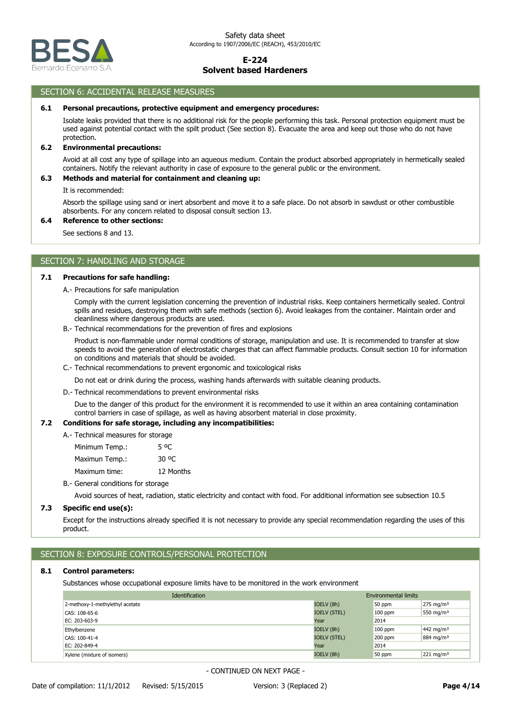

## SECTION 6: ACCIDENTAL RELEASE MEASURES

#### **6.1 Personal precautions, protective equipment and emergency procedures:**

Isolate leaks provided that there is no additional risk for the people performing this task. Personal protection equipment must be used against potential contact with the spilt product (See section 8). Evacuate the area and keep out those who do not have protection.

#### **6.2 Environmental precautions:**

Avoid at all cost any type of spillage into an aqueous medium. Contain the product absorbed appropriately in hermetically sealed containers. Notify the relevant authority in case of exposure to the general public or the environment.

### **6.3 Methods and material for containment and cleaning up:**

It is recommended:

Absorb the spillage using sand or inert absorbent and move it to a safe place. Do not absorb in sawdust or other combustible absorbents. For any concern related to disposal consult section 13.

#### **6.4 Reference to other sections:**

See sections 8 and 13.

## SECTION 7: HANDLING AND STORAGE

### **7.1 Precautions for safe handling:**

A.- Precautions for safe manipulation

Comply with the current legislation concerning the prevention of industrial risks. Keep containers hermetically sealed. Control spills and residues, destroying them with safe methods (section 6). Avoid leakages from the container. Maintain order and cleanliness where dangerous products are used.

B.- Technical recommendations for the prevention of fires and explosions

Product is non-flammable under normal conditions of storage, manipulation and use. It is recommended to transfer at slow speeds to avoid the generation of electrostatic charges that can affect flammable products. Consult section 10 for information on conditions and materials that should be avoided.

C.- Technical recommendations to prevent ergonomic and toxicological risks

Do not eat or drink during the process, washing hands afterwards with suitable cleaning products.

D.- Technical recommendations to prevent environmental risks

Due to the danger of this product for the environment it is recommended to use it within an area containing contamination control barriers in case of spillage, as well as having absorbent material in close proximity.

#### **7.2 Conditions for safe storage, including any incompatibilities:**

A.- Technical measures for storage

Maximum time: 12 Months Maximun Temp.: 30 °C Minimum Temp.: 5 °C

B.- General conditions for storage

Avoid sources of heat, radiation, static electricity and contact with food. For additional information see subsection 10.5

## **7.3 Specific end use(s):**

Except for the instructions already specified it is not necessary to provide any special recommendation regarding the uses of this product.

## SECTION 8: EXPOSURE CONTROLS/PERSONAL PROTECTION

## **8.1 Control parameters:**

Substances whose occupational exposure limits have to be monitored in the work environment

| <b>Identification</b>           |                     | <b>Environmental limits</b> |                       |
|---------------------------------|---------------------|-----------------------------|-----------------------|
| 2-methoxy-1-methylethyl acetate | IOELV (8h)          | 50 ppm                      | $275 \text{ mg/m}^3$  |
| CAS: 108-65-6                   | <b>IOELV (STEL)</b> | $100$ ppm                   | 550 mg/m <sup>3</sup> |
| EC: 203-603-9                   | Year                | 2014                        |                       |
| Ethylbenzene                    | IOELV (8h)          | $100$ ppm                   | 442 mg/m <sup>3</sup> |
| CAS: 100-41-4                   | <b>IOELV (STEL)</b> | 200 ppm                     | 884 mg/m <sup>3</sup> |
| EC: 202-849-4                   | Year                | 2014                        |                       |
| Xylene (mixture of isomers)     | IOELV (8h)          | 50 ppm                      | $221 \text{ mg/m}^3$  |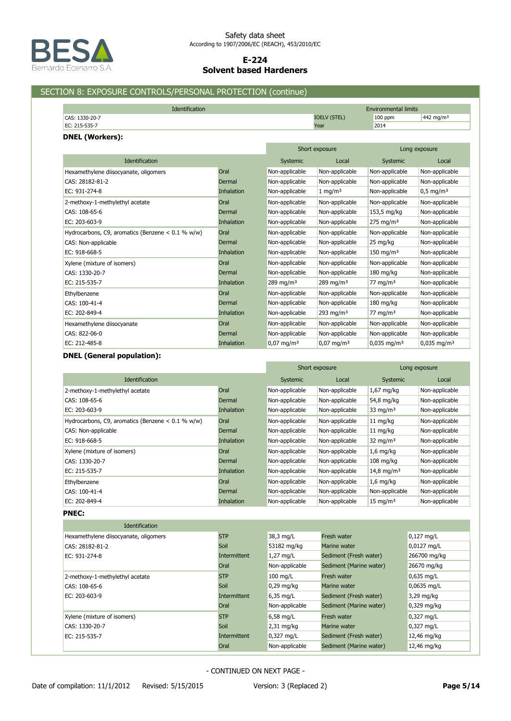

# SECTION 8: EXPOSURE CONTROLS/PERSONAL PROTECTION (continue)

| <b>Identification</b>        | <b>Environmental limits</b> |         |                       |  |
|------------------------------|-----------------------------|---------|-----------------------|--|
| 1330-20-7<br>$\cap$ $\Delta$ | (STEL)                      | 100 ppm | 442 mg/m <sup>3</sup> |  |
| EC: 215-535-7                | Year                        | 2014    |                       |  |

### **DNEL (Workers):**

|                                                     |                   | Short exposure          |                       | Long exposure             |                           |
|-----------------------------------------------------|-------------------|-------------------------|-----------------------|---------------------------|---------------------------|
| Identification                                      |                   | Systemic                | Local                 | Systemic                  | Local                     |
| Hexamethylene diisocyanate, oligomers               | Oral              | Non-applicable          | Non-applicable        | Non-applicable            | Non-applicable            |
| CAS: 28182-81-2                                     | Dermal            | Non-applicable          | Non-applicable        | Non-applicable            | Non-applicable            |
| EC: 931-274-8                                       | <b>Inhalation</b> | Non-applicable          | $1 \text{ mg/m}^3$    | Non-applicable            | $0,5 \text{ mg/m}^3$      |
| 2-methoxy-1-methylethyl acetate                     | Oral              | Non-applicable          | Non-applicable        | Non-applicable            | Non-applicable            |
| CAS: 108-65-6                                       | Dermal            | Non-applicable          | Non-applicable        | 153,5 mg/kg               | Non-applicable            |
| EC: 203-603-9                                       | <b>Inhalation</b> | Non-applicable          | Non-applicable        | $275 \text{ mg/m}^3$      | Non-applicable            |
| Hydrocarbons, C9, aromatics (Benzene $< 0.1$ % w/w) | Oral              | Non-applicable          | Non-applicable        | Non-applicable            | Non-applicable            |
| CAS: Non-applicable                                 | Dermal            | Non-applicable          | Non-applicable        | 25 mg/kg                  | Non-applicable            |
| EC: 918-668-5                                       | Inhalation        | Non-applicable          | Non-applicable        | $150$ mg/m <sup>3</sup>   | Non-applicable            |
| Xylene (mixture of isomers)                         | Oral              | Non-applicable          | Non-applicable        | Non-applicable            | Non-applicable            |
| CAS: 1330-20-7                                      | Dermal            | Non-applicable          | Non-applicable        | $180 \text{ mg/kg}$       | Non-applicable            |
| EC: 215-535-7                                       | Inhalation        | $289 \,\mathrm{mg/m^3}$ | 289 mg/m <sup>3</sup> | 77 mg/m $3$               | Non-applicable            |
| Ethylbenzene                                        | Oral              | Non-applicable          | Non-applicable        | Non-applicable            | Non-applicable            |
| CAS: 100-41-4                                       | Dermal            | Non-applicable          | Non-applicable        | $180$ mg/kg               | Non-applicable            |
| EC: 202-849-4                                       | Inhalation        | Non-applicable          | 293 mg/m <sup>3</sup> | 77 mg/m $3$               | Non-applicable            |
| Hexamethylene diisocyanate                          | Oral              | Non-applicable          | Non-applicable        | Non-applicable            | Non-applicable            |
| CAS: 822-06-0                                       | Dermal            | Non-applicable          | Non-applicable        | Non-applicable            | Non-applicable            |
| EC: 212-485-8                                       | Inhalation        | $0,07 \text{ mg/m}^3$   | $0.07 \text{ mg/m}^3$ | $0.035$ mg/m <sup>3</sup> | $0,035$ mg/m <sup>3</sup> |

## **DNEL (General population):**

|                                                     |                   | Short exposure |                | Long exposure          |                |
|-----------------------------------------------------|-------------------|----------------|----------------|------------------------|----------------|
| <b>Identification</b>                               |                   | Systemic       | Local          | Systemic               | Local          |
| 2-methoxy-1-methylethyl acetate                     | Oral              | Non-applicable | Non-applicable | $1,67$ mg/kg           | Non-applicable |
| CAS: 108-65-6                                       | Dermal            | Non-applicable | Non-applicable | 54,8 mg/kg             | Non-applicable |
| EC: 203-603-9                                       | <b>Inhalation</b> | Non-applicable | Non-applicable | $33 \text{ mg/m}^3$    | Non-applicable |
| Hydrocarbons, C9, aromatics (Benzene $< 0.1$ % w/w) | Oral              | Non-applicable | Non-applicable | 11 mg/kg               | Non-applicable |
| CAS: Non-applicable                                 | Dermal            | Non-applicable | Non-applicable | $11 \text{ mg/kg}$     | Non-applicable |
| EC: 918-668-5                                       | <b>Inhalation</b> | Non-applicable | Non-applicable | $32 \text{ mg/m}^3$    | Non-applicable |
| Xylene (mixture of isomers)                         | Oral              | Non-applicable | Non-applicable | $1,6$ mg/kg            | Non-applicable |
| CAS: 1330-20-7                                      | Dermal            | Non-applicable | Non-applicable | $108$ mg/kg            | Non-applicable |
| EC: 215-535-7                                       | <b>Inhalation</b> | Non-applicable | Non-applicable | 14,8 mg/m <sup>3</sup> | Non-applicable |
| Ethylbenzene                                        | Oral              | Non-applicable | Non-applicable | $1,6$ mg/kg            | Non-applicable |
| CAS: 100-41-4                                       | Dermal            | Non-applicable | Non-applicable | Non-applicable         | Non-applicable |
| EC: 202-849-4                                       | Inhalation        | Non-applicable | Non-applicable | $15 \text{ mg/m}^3$    | Non-applicable |

**PNEC:**

| <b>Identification</b>                 |                     |                |                         |               |
|---------------------------------------|---------------------|----------------|-------------------------|---------------|
| Hexamethylene diisocyanate, oligomers | <b>STP</b>          | 38,3 mg/L      | Fresh water             | $0,127$ mg/L  |
| CAS: 28182-81-2                       | Soil                | 53182 mg/kg    | Marine water            | 0,0127 mg/L   |
| EC: 931-274-8                         | <b>Intermittent</b> | $1,27$ mg/L    | Sediment (Fresh water)  | 266700 mg/kg  |
|                                       | Oral                | Non-applicable | Sediment (Marine water) | 26670 mg/kg   |
| 2-methoxy-1-methylethyl acetate       | <b>STP</b>          | $100$ mg/L     | Fresh water             | $0,635$ mg/L  |
| CAS: 108-65-6                         | Soil                | $0.29$ mg/kg   | Marine water            | 0,0635 mg/L   |
| EC: 203-603-9                         | Intermittent        | $6,35$ mg/L    | Sediment (Fresh water)  | 3,29 mg/kg    |
|                                       | Oral                | Non-applicable | Sediment (Marine water) | $0,329$ mg/kg |
| Xylene (mixture of isomers)           | <b>STP</b>          | $6,58$ mg/L    | Fresh water             | $0,327$ mg/L  |
| CAS: 1330-20-7                        | Soil                | $2,31$ mg/kg   | Marine water            | $0,327$ mg/L  |
| EC: 215-535-7                         | Intermittent        | $0,327$ mg/L   | Sediment (Fresh water)  | 12,46 mg/kg   |
|                                       | Oral                | Non-applicable | Sediment (Marine water) | 12,46 mg/kg   |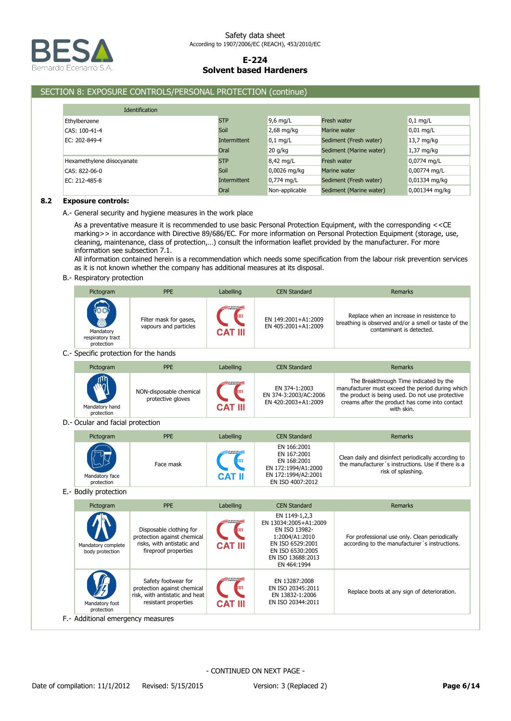

## SECTION 8: EXPOSURE CONTROLS/PERSONAL PROTECTION (continue)

| <b>Identification</b>      |              |                |                         |                |
|----------------------------|--------------|----------------|-------------------------|----------------|
| Ethylbenzene               | <b>STP</b>   | $9.6$ mg/L     | Fresh water             | $0.1$ mg/L     |
| CAS: 100-41-4              | Soil         | $2,68$ mg/kg   | Marine water            | $0.01$ mg/L    |
| EC: 202-849-4              | Intermittent | $0,1$ mg/L     | Sediment (Fresh water)  | 13,7 mg/kg     |
|                            | Oral         | $20$ g/kg      | Sediment (Marine water) | $1,37$ mg/kg   |
| Hexamethylene diisocyanate | <b>STP</b>   | 8,42 mg/L      | Fresh water             | 0,0774 mg/L    |
| CAS: 822-06-0              | Soil         | 0,0026 mg/kg   | Marine water            | 0,00774 mg/L   |
| EC: 212-485-8              | Intermittent | $0,774$ mg/L   | Sediment (Fresh water)  | 0,01334 mg/kg  |
|                            | Oral         | Non-applicable | Sediment (Marine water) | 0,001344 mg/kg |

## **8.2 Exposure controls:**

A.- General security and hygiene measures in the work place

As a preventative measure it is recommended to use basic Personal Protection Equipment, with the corresponding <<CE marking>> in accordance with Directive 89/686/EC. For more information on Personal Protection Equipment (storage, use, cleaning, maintenance, class of protection,…) consult the information leaflet provided by the manufacturer. For more information see subsection 7.1.

All information contained herein is a recommendation which needs some specification from the labour risk prevention services as it is not known whether the company has additional measures at its disposal.

B.- Respiratory protection

| Pictogram                                    | PPE                                                                                  | Labelling           | <b>CEN Standard</b>                                                                                         | <b>Remarks</b>                                                                                                                                                                                                 |
|----------------------------------------------|--------------------------------------------------------------------------------------|---------------------|-------------------------------------------------------------------------------------------------------------|----------------------------------------------------------------------------------------------------------------------------------------------------------------------------------------------------------------|
| Mandatory<br>respiratory tract<br>protection | Filter mask for gases,<br>vapours and particles                                      | CAT III             | EN 149:2001+A1:2009<br>EN 405:2001+A1:2009                                                                  | Replace when an increase in resistence to<br>breathing is observed and/or a smell or taste of the<br>contaminant is detected.                                                                                  |
| C.- Specific protection for the hands        |                                                                                      |                     |                                                                                                             |                                                                                                                                                                                                                |
| Pictogram                                    | PPE                                                                                  | Labelling           | <b>CEN Standard</b>                                                                                         | Remarks                                                                                                                                                                                                        |
| Mandatory hand<br>protection                 | NON-disposable chemical<br>protective gloves                                         | <b>CAT III</b>      | EN 374-1:2003<br>EN 374-3:2003/AC:2006<br>EN 420:2003+A1:2009                                               | The Breakthrough Time indicated by the<br>manufacturer must exceed the period during which<br>the product is being used. Do not use protective<br>creams after the product has come into contact<br>with skin. |
| D.- Ocular and facial protection             |                                                                                      |                     |                                                                                                             |                                                                                                                                                                                                                |
| Pictogram                                    | PPE                                                                                  | Labelling           | <b>CEN Standard</b>                                                                                         | Remarks                                                                                                                                                                                                        |
| Mandatory face<br>protection                 | Face mask                                                                            | ĮШ<br><b>CAT II</b> | EN 166:2001<br>EN 167:2001<br>EN 168:2001<br>EN 172:1994/A1:2000<br>EN 172:1994/A2:2001<br>EN ISO 4007:2012 | Clean daily and disinfect periodically according to<br>the manufacturer's instructions. Use if there is a<br>risk of splashing.                                                                                |
| E.- Bodily protection                        |                                                                                      |                     |                                                                                                             |                                                                                                                                                                                                                |
| Pictogram                                    | PPE                                                                                  | Labelling           | <b>CEN Standard</b>                                                                                         | <b>Remarks</b>                                                                                                                                                                                                 |
| Mandatory complete                           | Disposable clothing for<br>protection against chemical<br>risks, with antistatic and | CAT                 | EN 1149-1,2,3<br>EN 13034:2005+A1:2009<br>EN ISO 13982-<br>1:2004/A1:2010<br>EN ISO 6529:2001               | For professional use only. Clean periodically<br>according to the manufacturer's instructions.                                                                                                                 |

| 编<br><b>THE REVIEW OF</b><br>Safety footwear for<br>EN 13287:2008<br>protection against chemical<br>EN ISO 20345:2011<br>risk, with antistatic and heat<br>EN 13832-1:2006<br>resistant properties<br>EN ISO 20344:2011<br><b>CAT III</b><br>Mandatory foot<br>protection<br>F.- Additional emergency measures | Mandatory complete<br>body protection | וואג, וויונוו מוונואנמנוכ מווע<br>fireproof properties | <b>CAT III</b> | LIVE OF A SERVE<br>EN ISO 6530:2005<br>EN ISO 13688:2013<br>EN 464:1994 | according to the manufacturer 3 moductions. |
|----------------------------------------------------------------------------------------------------------------------------------------------------------------------------------------------------------------------------------------------------------------------------------------------------------------|---------------------------------------|--------------------------------------------------------|----------------|-------------------------------------------------------------------------|---------------------------------------------|
|                                                                                                                                                                                                                                                                                                                |                                       |                                                        |                |                                                                         | Replace boots at any sign of deterioration. |
|                                                                                                                                                                                                                                                                                                                |                                       |                                                        |                |                                                                         |                                             |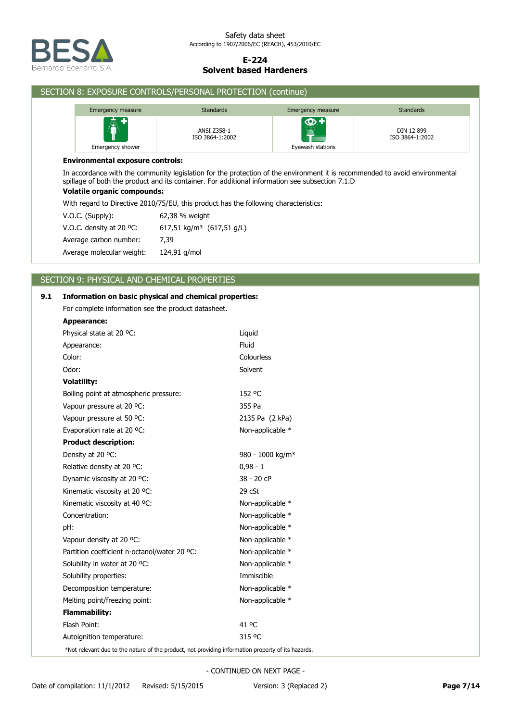

|     |                                                     | SECTION 8: EXPOSURE CONTROLS/PERSONAL PROTECTION (continue)                                                                                                                                                                    |                        |                               |  |  |
|-----|-----------------------------------------------------|--------------------------------------------------------------------------------------------------------------------------------------------------------------------------------------------------------------------------------|------------------------|-------------------------------|--|--|
|     | Emergency measure                                   | <b>Standards</b>                                                                                                                                                                                                               | Emergency measure      | <b>Standards</b>              |  |  |
|     | Emergency shower                                    | ANSI Z358-1<br>ISO 3864-1:2002                                                                                                                                                                                                 | ை+<br>Eyewash stations | DIN 12 899<br>ISO 3864-1:2002 |  |  |
|     | <b>Environmental exposure controls:</b>             |                                                                                                                                                                                                                                |                        |                               |  |  |
|     | <b>Volatile organic compounds:</b>                  | In accordance with the community legislation for the protection of the environment it is recommended to avoid environmental<br>spillage of both the product and its container. For additional information see subsection 7.1.D |                        |                               |  |  |
|     |                                                     | With regard to Directive 2010/75/EU, this product has the following characteristics:                                                                                                                                           |                        |                               |  |  |
|     | V.O.C. (Supply):                                    | 62,38 % weight                                                                                                                                                                                                                 |                        |                               |  |  |
|     | V.O.C. density at 20 °C:                            | 617,51 kg/m <sup>3</sup> (617,51 g/L)                                                                                                                                                                                          |                        |                               |  |  |
|     | Average carbon number:                              | 7,39                                                                                                                                                                                                                           |                        |                               |  |  |
|     | Average molecular weight:                           | 124,91 g/mol                                                                                                                                                                                                                   |                        |                               |  |  |
|     |                                                     |                                                                                                                                                                                                                                |                        |                               |  |  |
|     | SECTION 9: PHYSICAL AND CHEMICAL PROPERTIES         |                                                                                                                                                                                                                                |                        |                               |  |  |
| 9.1 |                                                     | Information on basic physical and chemical properties:                                                                                                                                                                         |                        |                               |  |  |
|     | For complete information see the product datasheet. |                                                                                                                                                                                                                                |                        |                               |  |  |
|     | <b>Appearance:</b>                                  |                                                                                                                                                                                                                                |                        |                               |  |  |
|     | Physical state at 20 °C:                            | Liquid                                                                                                                                                                                                                         |                        |                               |  |  |
|     | Appearance:                                         | Fluid                                                                                                                                                                                                                          |                        |                               |  |  |
|     | Color:                                              | Colourless                                                                                                                                                                                                                     |                        |                               |  |  |
|     | Odor:                                               | Solvent                                                                                                                                                                                                                        |                        |                               |  |  |
|     | <b>Volatility:</b>                                  |                                                                                                                                                                                                                                |                        |                               |  |  |
|     | Boiling point at atmospheric pressure:              | 152 °C                                                                                                                                                                                                                         |                        |                               |  |  |
|     | Vapour pressure at 20 °C:                           | 355 Pa                                                                                                                                                                                                                         |                        |                               |  |  |
|     | Vapour pressure at 50 °C:                           |                                                                                                                                                                                                                                | 2135 Pa (2 kPa)        |                               |  |  |
|     | Evaporation rate at 20 °C:                          |                                                                                                                                                                                                                                | Non-applicable *       |                               |  |  |
|     | <b>Product description:</b>                         |                                                                                                                                                                                                                                |                        |                               |  |  |
|     | Density at 20 °C:                                   | 980 - 1000 kg/m <sup>3</sup>                                                                                                                                                                                                   |                        |                               |  |  |
|     | Relative density at 20 °C:                          | $0,98 - 1$                                                                                                                                                                                                                     |                        |                               |  |  |
|     | Dynamic viscosity at 20 °C:                         | 38 - 20 cP                                                                                                                                                                                                                     |                        |                               |  |  |
|     | Kinematic viscosity at 20 °C:                       | 29 cSt                                                                                                                                                                                                                         |                        |                               |  |  |
|     | Kinematic viscosity at 40 °C:                       | Non-applicable *                                                                                                                                                                                                               |                        |                               |  |  |
|     | Concentration:                                      | Non-applicable *                                                                                                                                                                                                               |                        |                               |  |  |
|     | pH:                                                 | Non-applicable *                                                                                                                                                                                                               |                        |                               |  |  |
|     | Vapour density at 20 °C:                            | Non-applicable *                                                                                                                                                                                                               |                        |                               |  |  |
|     | Partition coefficient n-octanol/water 20 °C:        | Non-applicable *                                                                                                                                                                                                               |                        |                               |  |  |

Decomposition temperature: Non-applicable \* Solubility properties: **Immiscible** Solubility in water at 20 °C: Non-applicable \*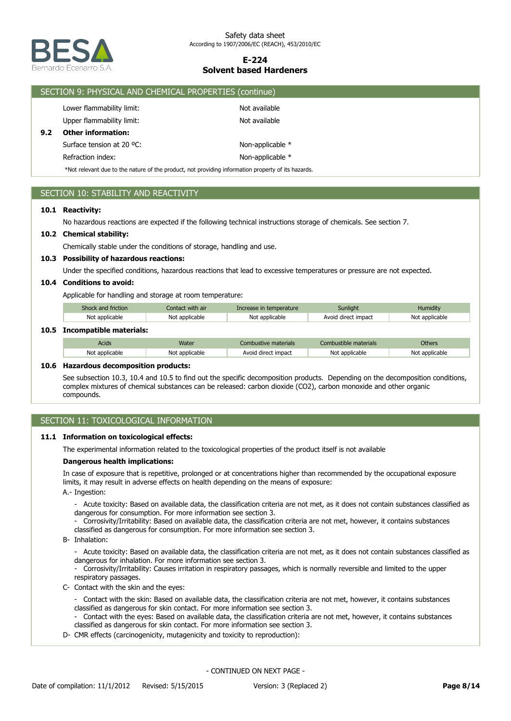

|     | SECTION 9: PHYSICAL AND CHEMICAL PROPERTIES (continue)                                             |                  |  |  |
|-----|----------------------------------------------------------------------------------------------------|------------------|--|--|
|     | Lower flammability limit:                                                                          | Not available    |  |  |
|     | Upper flammability limit:                                                                          | Not available    |  |  |
| 9.2 | <b>Other information:</b>                                                                          |                  |  |  |
|     | Surface tension at 20 °C:                                                                          | Non-applicable * |  |  |
|     | Refraction index:                                                                                  | Non-applicable * |  |  |
|     | *Not relevant due to the nature of the product, not providing information property of its hazards. |                  |  |  |

## SECTION 10: STABILITY AND REACTIVITY

## **10.1 Reactivity:**

No hazardous reactions are expected if the following technical instructions storage of chemicals. See section 7.

### **10.2 Chemical stability:**

Chemically stable under the conditions of storage, handling and use.

### **10.3 Possibility of hazardous reactions:**

Under the specified conditions, hazardous reactions that lead to excessive temperatures or pressure are not expected.

### **10.4 Conditions to avoid:**

Applicable for handling and storage at room temperature:

| Shock and friction     | Contact with air | Increase in temperature | Sunlight            | <b>Humidity</b> |
|------------------------|------------------|-------------------------|---------------------|-----------------|
| Not applicable         | Not applicable   | Not applicable          | Avoid direct impact | Not applicable  |
| ncompatible materials: |                  |                         |                     |                 |

## **10.5 Incompatible materials:**

| Acids          | Nater          | ustive materials.   | `ombustible materials | <b>Others</b>  |
|----------------|----------------|---------------------|-----------------------|----------------|
| Not applicable | Not applicable | Avoid direct impact | Not applicable        | Not applicable |

#### **10.6 Hazardous decomposition products:**

See subsection 10.3, 10.4 and 10.5 to find out the specific decomposition products. Depending on the decomposition conditions, complex mixtures of chemical substances can be released: carbon dioxide (CO2), carbon monoxide and other organic compounds.

## SECTION 11: TOXICOLOGICAL INFORMATION

#### **11.1 Information on toxicological effects:**

The experimental information related to the toxicological properties of the product itself is not available

### **Dangerous health implications:**

In case of exposure that is repetitive, prolonged or at concentrations higher than recommended by the occupational exposure limits, it may result in adverse effects on health depending on the means of exposure:

A.- Ingestion:

- Acute toxicity: Based on available data, the classification criteria are not met, as it does not contain substances classified as dangerous for consumption. For more information see section 3.
- Corrosivity/Irritability: Based on available data, the classification criteria are not met, however, it contains substances classified as dangerous for consumption. For more information see section 3.
- B- Inhalation:
	- Acute toxicity: Based on available data, the classification criteria are not met, as it does not contain substances classified as dangerous for inhalation. For more information see section 3.
	- Corrosivity/Irritability: Causes irritation in respiratory passages, which is normally reversible and limited to the upper respiratory passages.
- C- Contact with the skin and the eyes:
	- Contact with the skin: Based on available data, the classification criteria are not met, however, it contains substances classified as dangerous for skin contact. For more information see section 3.
	- Contact with the eyes: Based on available data, the classification criteria are not met, however, it contains substances classified as dangerous for skin contact. For more information see section 3.
- D- CMR effects (carcinogenicity, mutagenicity and toxicity to reproduction):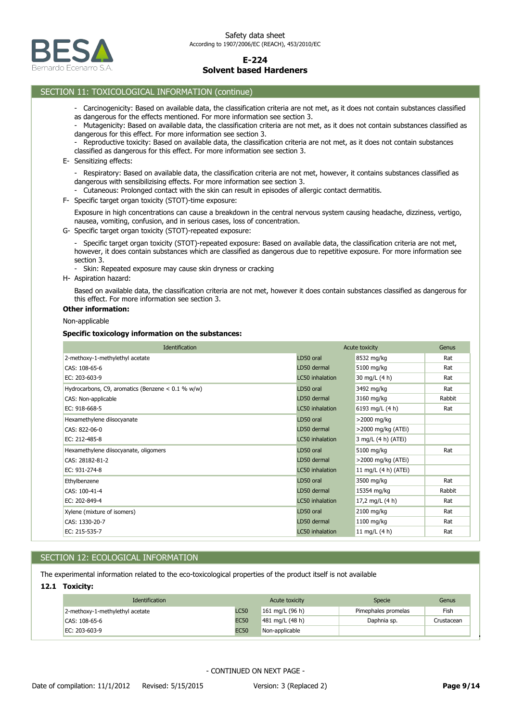

## SECTION 11: TOXICOLOGICAL INFORMATION (continue)

- Carcinogenicity: Based on available data, the classification criteria are not met, as it does not contain substances classified as dangerous for the effects mentioned. For more information see section 3.
- Mutagenicity: Based on available data, the classification criteria are not met, as it does not contain substances classified as dangerous for this effect. For more information see section 3.
- Reproductive toxicity: Based on available data, the classification criteria are not met, as it does not contain substances classified as dangerous for this effect. For more information see section 3.
- E- Sensitizing effects:
	- Respiratory: Based on available data, the classification criteria are not met, however, it contains substances classified as dangerous with sensibilizising effects. For more information see section 3.
	- Cutaneous: Prolonged contact with the skin can result in episodes of allergic contact dermatitis.
- F- Specific target organ toxicity (STOT)-time exposure:

Exposure in high concentrations can cause a breakdown in the central nervous system causing headache, dizziness, vertigo, nausea, vomiting, confusion, and in serious cases, loss of concentration.

G- Specific target organ toxicity (STOT)-repeated exposure:

- Specific target organ toxicity (STOT)-repeated exposure: Based on available data, the classification criteria are not met, however, it does contain substances which are classified as dangerous due to repetitive exposure. For more information see section 3.

- Skin: Repeated exposure may cause skin dryness or cracking
- H- Aspiration hazard:

Based on available data, the classification criteria are not met, however it does contain substances classified as dangerous for this effect. For more information see section 3.

# **Other information:**

Non-applicable

#### **Specific toxicology information on the substances:**

| <b>Identification</b>                               | Acute toxicity  |                      | Genus  |
|-----------------------------------------------------|-----------------|----------------------|--------|
| 2-methoxy-1-methylethyl acetate                     | LD50 oral       | 8532 mg/kg           | Rat    |
| CAS: 108-65-6                                       | LD50 dermal     | 5100 mg/kg           | Rat    |
| EC: 203-603-9                                       | LC50 inhalation | 30 mg/L (4 h)        | Rat    |
| Hydrocarbons, C9, aromatics (Benzene $< 0.1$ % w/w) | LD50 oral       | 3492 mg/kg           | Rat    |
| CAS: Non-applicable                                 | LD50 dermal     | 3160 mg/kg           | Rabbit |
| EC: 918-668-5                                       | LC50 inhalation | 6193 mg/L (4 h)      | Rat    |
| Hexamethylene diisocyanate                          | LD50 oral       | >2000 mg/kg          |        |
| CAS: 822-06-0                                       | LD50 dermal     | >2000 mg/kg (ATEi)   |        |
| EC: 212-485-8                                       | LC50 inhalation | 3 mg/L (4 h) (ATEi)  |        |
| Hexamethylene diisocyanate, oligomers               | LD50 oral       | 5100 mg/kg           | Rat    |
| CAS: 28182-81-2                                     | LD50 dermal     | >2000 mg/kg (ATEi)   |        |
| EC: 931-274-8                                       | LC50 inhalation | 11 mg/L (4 h) (ATEi) |        |
| Ethylbenzene                                        | LD50 oral       | 3500 mg/kg           | Rat    |
| CAS: 100-41-4                                       | LD50 dermal     | 15354 mg/kg          | Rabbit |
| EC: 202-849-4                                       | LC50 inhalation | 17,2 mg/L (4 h)      | Rat    |
| Xylene (mixture of isomers)                         | LD50 oral       | 2100 mg/kg           | Rat    |
| CAS: 1330-20-7                                      | LD50 dermal     | $1100$ mg/kg         | Rat    |
| EC: 215-535-7                                       | LC50 inhalation | 11 mg/L (4 h)        | Rat    |

## SECTION 12: ECOLOGICAL INFORMATION

The experimental information related to the eco-toxicological properties of the product itself is not available

### **12.1 Toxicity:**

| <b>Identification</b>           |             | Acute toxicity    | Specie              | Genus      |
|---------------------------------|-------------|-------------------|---------------------|------------|
| 2-methoxy-1-methylethyl acetate | <b>LC50</b> | 161 mg/L $(96 h)$ | Pimephales promelas | Fish       |
| CAS: 108-65-6                   | <b>EC50</b> | 481 mg/L $(48 h)$ | Daphnia sp.         | Crustacean |
| EC: 203-603-9                   | <b>EC50</b> | Non-applicable    |                     |            |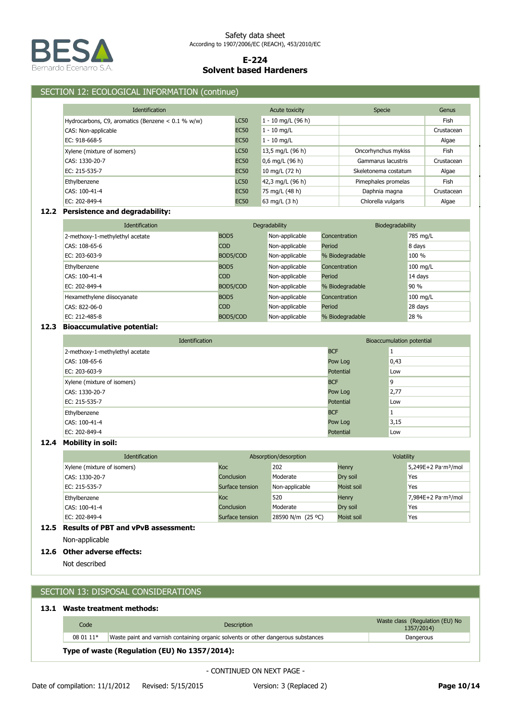

## SECTION 12: ECOLOGICAL INFORMATION (continue)

| <b>Identification</b>                               |             | Acute toxicity     | Specie               | Genus       |
|-----------------------------------------------------|-------------|--------------------|----------------------|-------------|
| Hydrocarbons, C9, aromatics (Benzene $< 0.1$ % w/w) | <b>LC50</b> | 1 - 10 mg/L (96 h) |                      | Fish        |
| CAS: Non-applicable                                 | <b>EC50</b> | $1 - 10$ mg/L      |                      | Crustacean  |
| EC: 918-668-5                                       | <b>EC50</b> | $1 - 10$ mg/L      |                      | Algae       |
| Xylene (mixture of isomers)                         | <b>LC50</b> | 13,5 mg/L (96 h)   | Oncorhynchus mykiss  | Fish        |
| CAS: 1330-20-7                                      | <b>EC50</b> | $0,6$ mg/L (96 h)  | Gammarus lacustris   | Crustacean  |
| EC: 215-535-7                                       | <b>EC50</b> | 10 mg/L (72 h)     | Skeletonema costatum | Algae       |
| Ethylbenzene                                        | <b>LC50</b> | 42,3 mg/L (96 h)   | Pimephales promelas  | <b>Fish</b> |
| CAS: 100-41-4                                       | <b>EC50</b> | 75 mg/L (48 h)     | Daphnia magna        | Crustacean  |
| EC: 202-849-4                                       | <b>EC50</b> | 63 mg/L (3 h)      | Chlorella vulgaris   | Algae       |

## **12.2 Persistence and degradability:**

| <b>Identification</b>           |                  | Degradability  |                 | Biodegradability   |  |
|---------------------------------|------------------|----------------|-----------------|--------------------|--|
| 2-methoxy-1-methylethyl acetate | BOD <sub>5</sub> | Non-applicable | Concentration   | 785 mg/L           |  |
| CAS: 108-65-6                   | <b>COD</b>       | Non-applicable | Period          | 8 days             |  |
| EC: 203-603-9                   | BOD5/COD         | Non-applicable | % Biodegradable | 100 %              |  |
| Ethylbenzene                    | BOD <sub>5</sub> | Non-applicable | Concentration   | $100 \text{ mg/L}$ |  |
| CAS: 100-41-4                   | <b>COD</b>       | Non-applicable | Period          | 14 days            |  |
| EC: 202-849-4                   | BOD5/COD         | Non-applicable | % Biodegradable | 90 %               |  |
| Hexamethylene diisocyanate      | BOD <sub>5</sub> | Non-applicable | Concentration   | $100 \text{ mg/L}$ |  |
| CAS: 822-06-0                   | <b>COD</b>       | Non-applicable | Period          | 28 days            |  |
| EC: 212-485-8                   | BOD5/COD         | Non-applicable | % Biodegradable | 28 %               |  |

## **12.3 Bioaccumulative potential:**

| <b>Identification</b>           |            | Bioaccumulation potential |
|---------------------------------|------------|---------------------------|
| 2-methoxy-1-methylethyl acetate | <b>BCF</b> |                           |
| CAS: 108-65-6                   | Pow Log    | 0,43                      |
| EC: 203-603-9                   | Potential  | Low                       |
| Xylene (mixture of isomers)     | <b>BCF</b> | 9                         |
| CAS: 1330-20-7                  | Pow Log    | 2,77                      |
| EC: 215-535-7                   | Potential  | Low                       |
| Ethylbenzene                    | <b>BCF</b> |                           |
| CAS: 100-41-4                   | Pow Log    | 3,15                      |
| EC: 202-849-4                   | Potential  | Low                       |

## **12.4 Mobility in soil:**

| <b>Identification</b>       |                 | Absorption/desorption | <b>Volatility</b> |                                 |
|-----------------------------|-----------------|-----------------------|-------------------|---------------------------------|
| Xylene (mixture of isomers) | Koc             | 202                   | Henry             | 5,249E+2 Pa·m <sup>3</sup> /mol |
| CAS: 1330-20-7              | Conclusion      | Moderate              | Dry soil          | Yes                             |
| EC: 215-535-7               | Surface tension | Non-applicable        | Moist soil        | Yes                             |
| Ethylbenzene                | Koc             | 520                   | Henry             | 7,984E+2 Pa·m <sup>3</sup> /mol |
| CAS: 100-41-4               | Conclusion      | Moderate              | Dry soil          | Yes                             |
| EC: 202-849-4               | Surface tension | 28590 N/m (25 °C)     | Moist soil        | Yes                             |

## **12.5 Results of PBT and vPvB assessment:**

Non-applicable

# **12.6 Other adverse effects:**

Not described

# SECTION 13: DISPOSAL CONSIDERATIONS

## **13.1 Waste treatment methods:**

| Code                                          | <b>Description</b>                                                                | Waste class (Regulation (EU) No<br>1357/2014) |  |  |  |
|-----------------------------------------------|-----------------------------------------------------------------------------------|-----------------------------------------------|--|--|--|
| 08 01 11*                                     | Waste paint and varnish containing organic solvents or other dangerous substances | Dangerous                                     |  |  |  |
| Type of waste (Regulation (EU) No 1357/2014): |                                                                                   |                                               |  |  |  |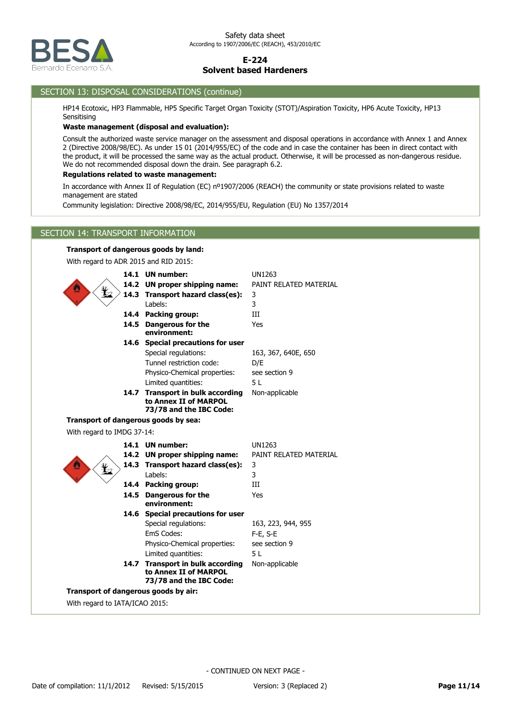

## SECTION 13: DISPOSAL CONSIDERATIONS (continue)

HP14 Ecotoxic, HP3 Flammable, HP5 Specific Target Organ Toxicity (STOT)/Aspiration Toxicity, HP6 Acute Toxicity, HP13 **Sensitising** 

### **Waste management (disposal and evaluation):**

Consult the authorized waste service manager on the assessment and disposal operations in accordance with Annex 1 and Annex 2 (Directive 2008/98/EC). As under 15 01 (2014/955/EC) of the code and in case the container has been in direct contact with the product, it will be processed the same way as the actual product. Otherwise, it will be processed as non-dangerous residue. We do not recommended disposal down the drain. See paragraph 6.2.

#### **Regulations related to waste management:**

In accordance with Annex II of Regulation (EC) nº1907/2006 (REACH) the community or state provisions related to waste management are stated

Community legislation: Directive 2008/98/EC, 2014/955/EU, Regulation (EU) No 1357/2014

## SECTION 14: TRANSPORT INFORMATION

## **Transport of dangerous goods by land:**

With regard to ADR 2015 and RID 2015:

|                                |      | 14.1 UN number:                      | <b>UN1263</b>          |
|--------------------------------|------|--------------------------------------|------------------------|
|                                |      | 14.2 UN proper shipping name:        | PAINT RELATED MATERIAL |
| ¥,                             |      | 14.3 Transport hazard class(es):     | 3                      |
|                                |      | Labels:                              | 3                      |
|                                |      | 14.4 Packing group:                  | Ш                      |
|                                |      | 14.5 Dangerous for the               | Yes                    |
|                                |      | environment:                         |                        |
|                                |      | 14.6 Special precautions for user    |                        |
|                                |      | Special regulations:                 | 163, 367, 640E, 650    |
|                                |      | Tunnel restriction code:             | D/E                    |
|                                |      | Physico-Chemical properties:         | see section 9          |
|                                |      | Limited quantities:                  | 51                     |
|                                |      | 14.7 Transport in bulk according     | Non-applicable         |
|                                |      | to Annex II of MARPOL                |                        |
|                                |      | 73/78 and the IBC Code:              |                        |
|                                |      | Transport of dangerous goods by sea: |                        |
| With regard to IMDG 37-14:     |      |                                      |                        |
|                                |      | 14.1 UN number:                      | <b>UN1263</b>          |
|                                |      |                                      |                        |
|                                |      | 14.2 UN proper shipping name:        | PAINT RELATED MATERIAL |
|                                |      | 14.3 Transport hazard class(es):     | 3                      |
| ¥                              |      | Labels:                              | 3                      |
|                                |      | 14.4 Packing group:                  | III                    |
|                                |      | 14.5 Dangerous for the               | Yes                    |
|                                |      | environment:                         |                        |
|                                |      | 14.6 Special precautions for user    |                        |
|                                |      | Special regulations:                 | 163, 223, 944, 955     |
|                                |      | EmS Codes:                           | F-E, S-E               |
|                                |      | Physico-Chemical properties:         | see section 9          |
|                                |      | Limited quantities:                  | 51                     |
|                                | 14.7 | <b>Transport in bulk according</b>   | Non-applicable         |
|                                |      | to Annex II of MARPOL                |                        |
|                                |      | 73/78 and the IBC Code:              |                        |
| With regard to IATA/ICAO 2015: |      | Transport of dangerous goods by air: |                        |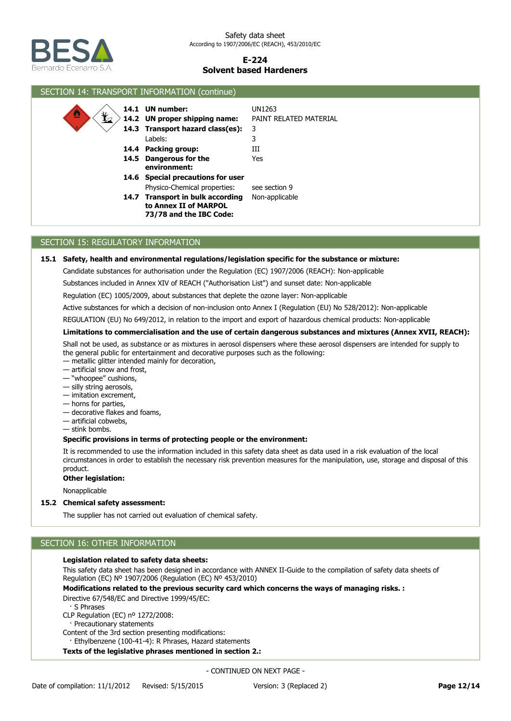

| SECTION 14: TRANSPORT INFORMATION (continue)        |                                                                                                                                                                           |                                                        |  |
|-----------------------------------------------------|---------------------------------------------------------------------------------------------------------------------------------------------------------------------------|--------------------------------------------------------|--|
| $\mathbf{\mathbf{\mathbf{\mathbf{\Psi}}}}_{2}$<br>≝ | 14.1 UN number:<br>14.2 UN proper shipping name:<br>14.3 Transport hazard class(es):<br>Labels:<br>14.4 Packing group:<br>14.5 Dangerous for the                          | UN1263<br>PAINT RELATED MATERIAL<br>3<br>3<br>Ш<br>Yes |  |
|                                                     | environment:<br>14.6 Special precautions for user<br>Physico-Chemical properties:<br>14.7 Transport in bulk according<br>to Annex II of MARPOL<br>73/78 and the IBC Code: | see section 9<br>Non-applicable                        |  |

## SECTION 15: REGULATORY INFORMATION

### **15.1 Safety, health and environmental regulations/legislation specific for the substance or mixture:**

Candidate substances for authorisation under the Regulation (EC) 1907/2006 (REACH): Non-applicable

Substances included in Annex XIV of REACH ("Authorisation List") and sunset date: Non-applicable

Regulation (EC) 1005/2009, about substances that deplete the ozone layer: Non-applicable

Active substances for which a decision of non-inclusion onto Annex I (Regulation (EU) No 528/2012): Non-applicable

REGULATION (EU) No 649/2012, in relation to the import and export of hazardous chemical products: Non-applicable

### **Limitations to commercialisation and the use of certain dangerous substances and mixtures (Annex XVII, REACH):**

Shall not be used, as substance or as mixtures in aerosol dispensers where these aerosol dispensers are intended for supply to the general public for entertainment and decorative purposes such as the following:

- metallic glitter intended mainly for decoration,
- artificial snow and frost,
- "whoopee" cushions,
- silly string aerosols,
- imitation excrement,
- horns for parties,
- decorative flakes and foams,
- artificial cobwebs,
- stink bombs.

### **Specific provisions in terms of protecting people or the environment:**

It is recommended to use the information included in this safety data sheet as data used in a risk evaluation of the local circumstances in order to establish the necessary risk prevention measures for the manipulation, use, storage and disposal of this product.

#### **Other legislation:**

Nonapplicable

#### **15.2 Chemical safety assessment:**

The supplier has not carried out evaluation of chemical safety.

# SECTION 16: OTHER INFORMATION

## **Legislation related to safety data sheets:**

This safety data sheet has been designed in accordance with ANNEX II-Guide to the compilation of safety data sheets of Regulation (EC) Nº 1907/2006 (Regulation (EC) Nº 453/2010)

**Modifications related to the previous security card which concerns the ways of managing risks. :**

- Directive 67/548/EC and Directive 1999/45/EC:
- · S Phrases

CLP Regulation (EC) nº 1272/2008:

· Precautionary statements

Content of the 3rd section presenting modifications:

Ethylbenzene (100-41-4): R Phrases, Hazard statements

**Texts of the legislative phrases mentioned in section 2.:**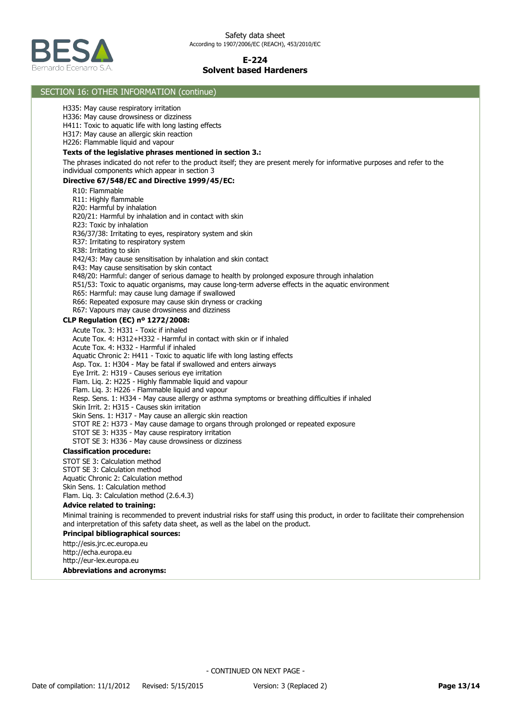

### **Abbreviations and acronyms:** http://esis.jrc.ec.europa.eu http://echa.europa.eu http://eur-lex.europa.eu **Principal bibliographical sources:** Minimal training is recommended to prevent industrial risks for staff using this product, in order to facilitate their comprehension and interpretation of this safety data sheet, as well as the label on the product. **Advice related to training:** STOT SE 3: Calculation method STOT SE 3: Calculation method Aquatic Chronic 2: Calculation method Skin Sens. 1: Calculation method Flam. Liq. 3: Calculation method (2.6.4.3) **Classification procedure:** Acute Tox. 3: H331 - Toxic if inhaled Acute Tox. 4: H312+H332 - Harmful in contact with skin or if inhaled Acute Tox. 4: H332 - Harmful if inhaled Aquatic Chronic 2: H411 - Toxic to aquatic life with long lasting effects Asp. Tox. 1: H304 - May be fatal if swallowed and enters airways Eye Irrit. 2: H319 - Causes serious eye irritation Flam. Liq. 2: H225 - Highly flammable liquid and vapour Flam. Liq. 3: H226 - Flammable liquid and vapour Resp. Sens. 1: H334 - May cause allergy or asthma symptoms or breathing difficulties if inhaled Skin Irrit. 2: H315 - Causes skin irritation Skin Sens. 1: H317 - May cause an allergic skin reaction STOT RE 2: H373 - May cause damage to organs through prolonged or repeated exposure STOT SE 3: H335 - May cause respiratory irritation STOT SE 3: H336 - May cause drowsiness or dizziness **CLP Regulation (EC) nº 1272/2008:** R10: Flammable R11: Highly flammable R20: Harmful by inhalation R20/21: Harmful by inhalation and in contact with skin R23: Toxic by inhalation R36/37/38: Irritating to eyes, respiratory system and skin R37: Irritating to respiratory system R38: Irritating to skin R42/43: May cause sensitisation by inhalation and skin contact R43: May cause sensitisation by skin contact R48/20: Harmful: danger of serious damage to health by prolonged exposure through inhalation R51/53: Toxic to aquatic organisms, may cause long-term adverse effects in the aquatic environment R65: Harmful: may cause lung damage if swallowed R66: Repeated exposure may cause skin dryness or cracking R67: Vapours may cause drowsiness and dizziness **Directive 67/548/EC and Directive 1999/45/EC:** The phrases indicated do not refer to the product itself; they are present merely for informative purposes and refer to the individual components which appear in section 3 **Texts of the legislative phrases mentioned in section 3.:** H335: May cause respiratory irritation H336: May cause drowsiness or dizziness H411: Toxic to aquatic life with long lasting effects H317: May cause an allergic skin reaction H226: Flammable liquid and vapour SECTION 16: OTHER INFORMATION (continue)